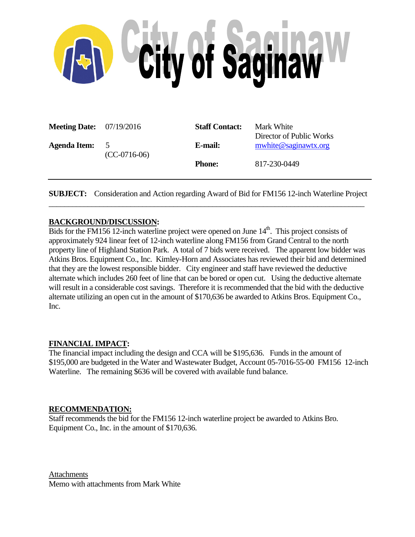

| <b>Meeting Date:</b> $07/19/2016$ |                                  | <b>Staff Contact:</b> | Mark White<br>Director of Public Works |
|-----------------------------------|----------------------------------|-----------------------|----------------------------------------|
| <b>Agenda Item:</b>               | $\overline{5}$<br>$(CC-0716-06)$ | E-mail:               | mwhite@saginawtx.org                   |
|                                   |                                  | <b>Phone:</b>         | 817-230-0449                           |

**SUBJECT:** Consideration and Action regarding Award of Bid for FM156 12-inch Waterline Project \_\_\_\_\_\_\_\_\_\_\_\_\_\_\_\_\_\_\_\_\_\_\_\_\_\_\_\_\_\_\_\_\_\_\_\_\_\_\_\_\_\_\_\_\_\_\_\_\_\_\_\_\_\_\_\_\_\_\_\_\_\_\_\_\_\_\_\_\_\_\_\_\_\_\_\_\_\_\_\_\_

#### **BACKGROUND/DISCUSSION:**

Bids for the FM156 12-inch waterline project were opened on June  $14<sup>th</sup>$ . This project consists of approximately 924 linear feet of 12-inch waterline along FM156 from Grand Central to the north property line of Highland Station Park. A total of 7 bids were received. The apparent low bidder was Atkins Bros. Equipment Co., Inc. Kimley-Horn and Associates has reviewed their bid and determined that they are the lowest responsible bidder. City engineer and staff have reviewed the deductive alternate which includes 260 feet of line that can be bored or open cut. Using the deductive alternate will result in a considerable cost savings. Therefore it is recommended that the bid with the deductive alternate utilizing an open cut in the amount of \$170,636 be awarded to Atkins Bros. Equipment Co., Inc.

#### **FINANCIAL IMPACT:**

The financial impact including the design and CCA will be \$195,636. Funds in the amount of \$195,000 are budgeted in the Water and Wastewater Budget, Account 05-7016-55-00 FM156 12-inch Waterline. The remaining \$636 will be covered with available fund balance.

#### **RECOMMENDATION:**

Staff recommends the bid for the FM156 12-inch waterline project be awarded to Atkins Bro. Equipment Co., Inc. in the amount of \$170,636.

Attachments Memo with attachments from Mark White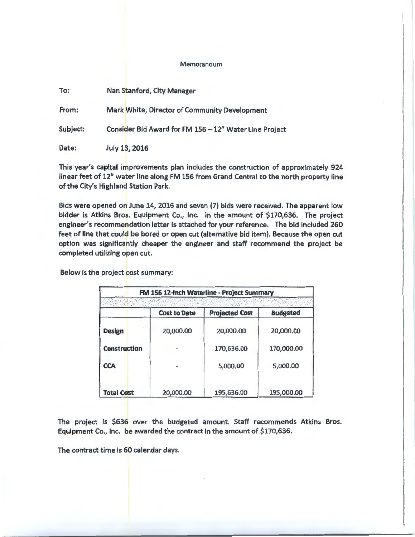#### Memorandum

| To:      | Nan Stanford, City Manager                             |
|----------|--------------------------------------------------------|
| From:    | Mark White, Director of Community Development          |
| Subject: | Consider Bid Award for FM 156 - 12" Water Line Project |
| Date:    | July 13, 2016                                          |

This year's capital improvements plan includes the construction of approximately 924 linear feet of 12" water line along FM 156 from Grand Central to the north property line of the City's Highland Station Park.

Bids were opened on June 14, 2016 and seven (7) bids were received. The apparent low bidder is Atkins Bros. Equipment Co., Inc. in the amount of \$170,636. The project engineer's recommendation letter is attached for your reference. The bid included 260 feet of line that could be bored or open cut (alternative bid item). Because the open cut option was significantly cheaper the engineer and staff recommend the project be completed utilizing open cut.

Below is the project cost summary:

| FM 156 12-Inch Waterline - Project Summary |                     |                       |                 |  |  |  |  |  |  |  |
|--------------------------------------------|---------------------|-----------------------|-----------------|--|--|--|--|--|--|--|
|                                            |                     |                       |                 |  |  |  |  |  |  |  |
|                                            | <b>Cost to Date</b> | <b>Projected Cost</b> | <b>Budgeted</b> |  |  |  |  |  |  |  |
| <b>Design</b>                              | 20,000.00           | 20,000.00             | 20,000.00       |  |  |  |  |  |  |  |
| <b>Construction</b>                        |                     | 170,636.00            | 170,000.00      |  |  |  |  |  |  |  |
| <b>CCA</b>                                 |                     | 5,000.00              | 5,000.00        |  |  |  |  |  |  |  |
| <b>Total Cost</b>                          | 20,000.00           | 195,636.00            | 195,000.00      |  |  |  |  |  |  |  |

The project is \$636 over the budgeted amount. Staff recommends Atkins Bros. Equipment Co., Inc. be awarded the contract In the amount of \$170,636.

The contract time Is 60 calendar days.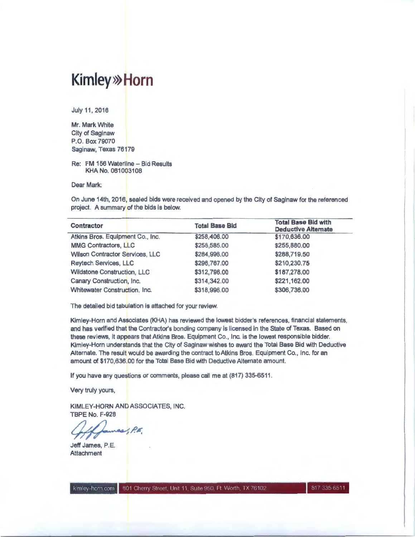## **Kim ley>>> Horn**

July 11, 2016

Mr. Mark White City of Saginaw P.O. Box 79070 Saginaw, Texas 76179

Re: FM 156 Waterline - Bid Results KHA No. 061003108

Dear Mark:

On June 14th, 2016, sealed bids were received and opened by the City of Saginaw for the referenced project. A summary of the bids is below.

| Contractor                       | <b>Total Base Bid</b> | <b>Total Base Bid with</b><br><b>Deductive Alternate</b> |  |  |
|----------------------------------|-----------------------|----------------------------------------------------------|--|--|
| Atkins Bros. Equipment Co., Inc. | \$258,406.00          | \$170,636.00                                             |  |  |
| <b>MMG Contractors, LLC</b>      | \$258,585.00          | \$255,880.00                                             |  |  |
| Wilson Contractor Services, LLC  | \$284,996.00          | \$288,719.50                                             |  |  |
| Reytech Services, LLC            | \$296,767.00          | \$210,230.75                                             |  |  |
| Wildstone Construction, LLC      | \$312,796.00          | \$187,278.00                                             |  |  |
| Canary Construction, Inc.        | \$314,342.00          | \$221,162.00                                             |  |  |
| Whitewater Construction, Inc.    | \$318,996.00          | \$306,736.00                                             |  |  |

The detailed bid tabulation is attached for your review.

Kim ley-Horn and Associates (KHA) has reviewed the lowest bidder's references, financial statements, and has verified that the Contractor's bonding company is licensed in the State of Texas. Based on these reviews, it appears that Atkins Bros. Equipment Co., Inc. is the lowest responsible bidder. Kim ley-Horn understands that the City of Saginaw wishes to award the Total Base Bid with Deductive Alternate. The result would be awarding the contract to Atkins Bros. Equipment Co., Inc. for an amount of \$170,636.00 for the Total Base Bid with Deductive Alternate amount.

If you have any questions or comments, please call me at (817) 335-6511 .

Very truly yours,

KIMLEY-HORN AND ASSOCIATES, INC. TBPE No. F-928

 $\sim$ 

Jeff James, P.E. **Attachment** 

kimley-horn.com 801 Cherry Street, Unit 11, Suite 950, Ft. Worth, TX 76102

817 335 6511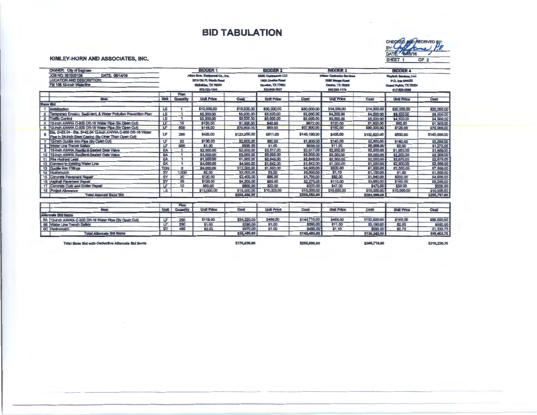## **BID TABULATION**

CHEOKED MORECEIVED BY:

OF 2

645/16

DAT

SHEET 1

#### KIMLEY-HORN AND ASSOCIATES, INC.

 $\sim$ 

|              | <b>OWNER</b> City of Saginaw                                                                                        |                |                         | <b>BIDDER 1</b>                   |                | <b>BIDDER 2</b>                          |              | <b>BIDDER 3</b>                   |              | <b>BIDDER 4</b>        |              |
|--------------|---------------------------------------------------------------------------------------------------------------------|----------------|-------------------------|-----------------------------------|----------------|------------------------------------------|--------------|-----------------------------------|--------------|------------------------|--------------|
|              | JOB NO: 061003108<br>DATE: 06/14/16                                                                                 |                |                         | Alidro Bros, Espipenent Co., Irw. |                | <b><i><u>UMC Contractors LLC</u></i></b> |              | <b>Wilser Centractor Services</b> |              | Reylech Services, LLC  |              |
|              | LOCATION AND DESCRIPTION:                                                                                           |                |                         | 3816 Old PL Warth Road            |                | 1909 Charles Road                        |              | 3985 Mango Fload                  |              | P.O. box 540252        |              |
|              | FM 156 12-Inch Waterline                                                                                            |                |                         | Midlebian, TX 76085               |                | <b>Houston, TX 77093</b>                 |              | Daniso, TX 78208                  |              | Goand Proble, TX 78054 |              |
|              |                                                                                                                     |                |                         | 972-723-1044                      |                | 832-649-7837                             |              | 940-243-1174                      |              | 017-829-0696           |              |
|              |                                                                                                                     |                | Plan                    |                                   |                |                                          |              |                                   |              |                        |              |
|              | <b>Hem</b>                                                                                                          | Unit           | Quantity                | <b>Unit Price</b>                 | <b>Cost</b>    | <b>Unit Price</b>                        | Cost         | <b>Unit Price</b>                 | Cost         | <b>Unit Price</b>      | Cost         |
|              | <b>Base Bid</b>                                                                                                     |                |                         |                                   |                |                                          |              |                                   |              |                        |              |
|              | Mobilization                                                                                                        | LS             |                         | \$10,000.00                       | \$10,000,00    | \$30,000.00                              | \$30,000.00  | \$14,000.00                       | \$14,000.00  | \$20,000.00            | \$20,000,00  |
|              | 2 Temporary Erosion, Sediment, & Water Pollution Prevention Plan                                                    | LS             |                         | \$5,000.00                        | \$5,000.00     | \$3,000,00                               | \$3,000.00   | \$4,200.00                        | \$4,200.00   | \$8,500.00             | S8,500.00    |
|              | 3 Traffic Control                                                                                                   | $\overline{L}$ |                         | \$3,000.00                        | \$3,000.00     | \$5,000.00                               | \$5,000.00   | \$5,000.00                        | \$5,000.00   | \$4,500.00             | \$4,500,00   |
| 4            | [10-inch AWWA C-800 DR-18 Water Pipe (By Open Cut)                                                                  | LF             | 16                      | \$120.00                          | \$1,920,00     | \$42.00                                  | \$672.00     | \$120.00                          | \$1,920.00   | \$82.50                | \$1,320.00   |
| $5 -$        | 12-inch AWWA C-800 DR-18 Water Pipe (By Open Cut)                                                                   | LF             | 600                     | \$118,00                          | \$70,800,00    | \$63.00                                  | \$37,800.00  | \$150,00                          | \$90,000.00  | \$125.00               | \$75,000,00  |
| 6            | Sta. 0+52.04 - Sta. 3+42.04 12-inch AWWA C-900 DR-18 Water<br>Pipe in 24-inch Steel Casing (By Other Than Open Cut) | <b>LF</b>      | 290                     | \$425,00                          | \$123,250.00   | \$611.00                                 | \$148,190.00 | \$458.00                          | \$132,820.00 | \$500,00               | \$145,000.00 |
|              | 7 12-Inch Ductlie Iron Pipe (By Open Cut)                                                                           | LF             | 20                      | \$130,00                          | \$2,600.00     | \$80.00                                  | \$1,800.00   | \$140.00                          | \$2,800.00   | \$160.00               | \$3,200.00   |
| $\mathbf{a}$ | <b>Water Line Trench Safety</b>                                                                                     | LF             | 636                     | \$1.00                            | S636.00        | \$1.00                                   | \$636.00     | \$11.00                           | \$6,996.00   | \$2.00                 | \$1,272,00   |
|              | 9 10-inch AWWA Restilent-Seated Gate Valve                                                                          | EA             |                         | \$2,000,00                        | \$2,000.00     | \$2,517,00                               | \$2,517,00   | \$2,500.00                        | \$2,500.00   | \$1,850.00             | \$1,850,00   |
|              | 10 12-inch AWWA Resilient-Seated Gate Valve                                                                         | EA             |                         | \$3,000,00                        | \$3,000.00     | \$3,005.00                               | \$3,005.00   | \$3,000.00                        | \$5,000.00   | \$2,200.00             | \$2,200.00   |
|              | 11 Fire Hydrant Lead                                                                                                | EA             |                         | \$1,000.00                        | \$1,000.00     | \$2,848.00                               | \$2,848.00   | \$2,000.00                        | \$2,000.00   | \$2,675.00             | \$2,675.00   |
|              | 12 Connect to Existing Water Line                                                                                   | <b>EA</b>      | $\blacksquare$          | \$4,000.00                        | \$4,000,00     | \$1,642.00                               | \$1,542.00   | \$1,000.00                        | \$1,000.00   | \$2,500.00             | \$2,500.00   |
|              | 13 Ductile Iron Fittings                                                                                            | TON            | $\overline{\mathbf{3}}$ | \$4,000.00                        | \$12,000.00    | \$1,500.00                               | \$4,500.00   | \$500.00                          | \$1,500.00   | \$2,500.00             | \$7,500.00   |
|              | 14 Hydromulch                                                                                                       | SY             | 1,000                   | \$2.00                            | \$2,000.00     | \$3,00                                   | \$3,000.00   | \$1.10                            | \$1,100,00   | \$1,50                 | \$1,500.00   |
|              | 15 Concrete Pavement Repair                                                                                         | ST             | 20                      | \$120.00                          | \$2,400.00     | \$95,00                                  | \$1,700.00   | \$92.00                           | \$1,840.00   | \$200.00               | \$4,000.00   |
|              | 16 Asphalt Pavement Repair                                                                                          | SY             | 35                      | \$120.00                          | \$4,200.00     | \$65.00                                  | \$2,275.00   | \$110.00                          | \$3,850.00   | \$150.00               | \$5,250,00   |
|              | 17 Concrete Curb and Gutter Repair                                                                                  | LF.            | 10                      | <b>S60.00</b>                     | <b>S600.DO</b> | \$20,00                                  | \$200.00     | \$47.00                           | \$470,00     | \$50,00                | \$500.00     |
|              | 18 Project Allowance                                                                                                | LS             |                         | \$10,000.00                       | \$10,000.00    | \$10,000.00                              | \$10,000.00  | \$10,000.00                       | \$10,000.00  | \$10,000.00            | \$10,000.00  |
|              | <b>Total Amount Base Bid</b>                                                                                        |                |                         |                                   | \$258,406.00   |                                          | \$258,585.00 |                                   | \$284,996.00 |                        | \$296,767,00 |
|              |                                                                                                                     |                |                         |                                   |                |                                          |              |                                   |              |                        |              |
|              |                                                                                                                     | Unit           | Plan<br>Quantity        | <b>Unit Price</b>                 | Cost           | <b>Unit Price</b>                        | Cost         |                                   |              |                        |              |
|              | Herr.                                                                                                               |                |                         |                                   |                |                                          |              | <b>Unit Price</b>                 | Cost         | <b>Unit Price</b>      | Cost         |
|              | <b>Alternale Bid Herns</b>                                                                                          |                |                         |                                   |                |                                          |              |                                   |              |                        |              |
|              | 5A 12-inch AWWA C-900 DR-18 Water Pipe (By Open Cut)                                                                | LF             | 290                     | \$118.00                          | \$34,220,00    | \$499,00                                 | \$144,710.00 | \$458.00                          | \$132,820.00 | \$195.00               | \$56,550.00  |
|              | 68 Water Line Trench Safety                                                                                         | LF             | 290                     | \$1.00                            | \$290.00       | \$1.00                                   | \$290.00     | \$11.00                           | \$3,190.00   | \$2.00                 | \$580.00     |
|              | <b>6C</b> Hydromutch                                                                                                | ST             | 485                     | \$2.00                            | \$970.00       | \$1.00                                   | \$485.00     | \$1,10                            | \$533.50     | \$2.75                 | 51,333.75    |
|              | <b>Total Alternate Bid Items</b>                                                                                    |                |                         |                                   | \$35,480.80    |                                          | \$145,485.00 |                                   | \$136,543.50 |                        | \$58,463,75  |
|              | Total Base Bid with Deductive Alternate Bid Items                                                                   |                |                         |                                   | \$170,636.00   |                                          | \$255,880.00 |                                   | \$288,719,50 |                        | \$210,230,75 |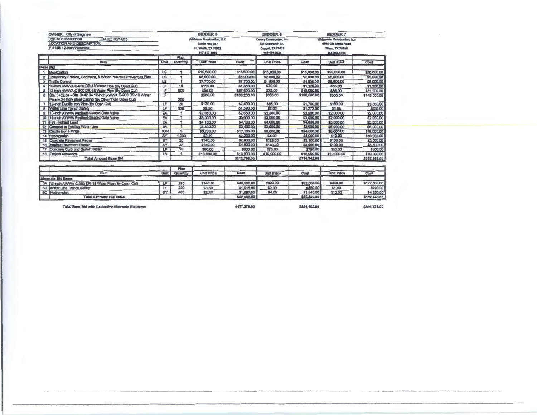|                                  | <b>OWNER:</b> City of Saginaw                                    |                 |          | <b>BIDDER 5</b>             |              | <b>BIDDER 6</b>           |              | <b>BIDDER 7</b>                |              |
|----------------------------------|------------------------------------------------------------------|-----------------|----------|-----------------------------|--------------|---------------------------|--------------|--------------------------------|--------------|
|                                  | JOB NO: 061003108<br>DATE 08/14/16                               |                 |          | Wildshire Construction, LLC |              | Cenary Construction, Inc. |              | Whitewater Construction, In.c. |              |
| <b>LOCATION AND DESCRIPTION:</b> |                                                                  |                 |          | 13850 Hwy 287               |              | 523 Greenwich Lr.         |              | 6640 Old Meda Road             |              |
|                                  | FM 156 12-Inch Waterline                                         |                 |          | Ft. Worth, TX 70052         |              | Coppel, TX 78019          |              | Wago, TX 75705                 |              |
|                                  |                                                                  |                 |          | 817-847-8860                |              | 469-454-3823              |              | 254-863-5750                   |              |
|                                  |                                                                  |                 | Plan     |                             |              |                           |              |                                |              |
|                                  | Item                                                             | Unit            | Quantity | <b>Unit Price</b>           | Cost         | <b>Unit Price</b>         | Cost         | <b>Unit Price</b>              | Cost         |
|                                  | <b>Base Bid</b>                                                  |                 |          |                             |              |                           |              |                                |              |
|                                  | 1 Mobilization                                                   | LS              |          | \$16,500.00                 | \$16,500,00  | \$15,000.00               | \$15,000.00  | \$50,000.00                    | \$50,000.00  |
|                                  | 2 Temporary Erosion, Sediment, & Water Pollution Prevention Plan | <b>LS</b>       |          | \$6,000.00                  | \$6,000,00   | \$2,000,00                | \$2,000.00   | \$5,000.00                     | \$5,000.00   |
|                                  | 3 Traffic Control                                                | <b>LS</b>       |          | \$7,700.00                  | \$7,700.00   | \$1,500.00                | \$1,500.00   | \$5,000.00                     | \$5,000,00   |
|                                  | 4 10-inch AWWA C-900 DR-18 Water Pipe (By Open Cul)              | LF              | 16       | \$116.00                    | \$1,856.00   | <b>S70.00</b>             | \$1,120.00   | \$85.00                        | \$1,360.00   |
|                                  | 5 12-inch AWWA C-900 DR-18 Water Pipe (By Open Cul)              | LF              | 600      | \$96.00                     | \$57,600.00  | \$75.00                   | \$45,000.00  | \$85.00                        | \$51,000,00  |
|                                  | 6   Sta. D+52.04 - Sta. 3+42.04 12-inch AWWA C-900 DR-18 Water   | LF              |          | \$580.00                    | \$168,200,00 | \$650.00                  | \$188,500.00 | \$500.00                       | \$145,000.00 |
|                                  | Pipe In 24-Inch Steel Casing (By Other Than Open Cut)            |                 | 290      |                             |              |                           |              |                                |              |
|                                  | 7 12-inch Ductile Iron Pipe (By Open Cul)                        | LF              | 20       | \$120.00                    | \$2,400.00   | \$85,00                   | \$1,700,00   | \$150,00                       | \$3,000,00   |
|                                  | 8 Water Line Trench Safety                                       | <b>LF</b>       | 636      | \$2,50                      | \$1,590.00   | \$2.00                    | \$1,272.00   | \$1.00                         | \$638,00     |
|                                  | 9 110-inch AWWA Resilient-Seated Gale Valve                      | <b>EA</b>       |          | \$2,650.00                  | \$2,650.00   | \$2,500.00                | \$2,500.00   | \$2,000.00                     | \$2,000.00   |
|                                  | 10 12-Inch AWWA Reslient-Seated Gate Valve                       | EA              |          | \$3,000.00                  | \$3,000.00   | 53,000.00                 | \$3,000.00   | \$2,000.00                     | \$2,000.00   |
|                                  | 11 Fire Hydrant Lead                                             | EA              |          | \$4,100.00                  | \$4,100.00   | \$4,000.00                | \$4,000,00   | \$5,000.00                     | \$5,000.00   |
|                                  | 12 Connect to Existing Water Line                                | EA.             |          | \$3,400,00                  | \$3,400.00   | \$2,000.00                | \$2,000.00   | \$5,000.00                     | \$5,000.00   |
|                                  | 13 Duckle Iron Fittings                                          | <b>TON</b>      | 3        | \$5,700.00                  | \$17,100.00  | \$8,000,00                | \$24,000.00  | \$6,000.00                     | \$18,000.00  |
|                                  | 14 Hydromulch                                                    | SY              | 1,000    | \$220                       | \$2,200.00   | \$4,00                    | \$4,000,00   | \$10.00                        | \$10,000.00  |
|                                  | 15 Concrete Pavement Repair                                      | ST              | 20       | \$140,00                    | \$2,800.00   | \$155.00                  | \$3,100.00   | \$100.00                       | \$2,000.00   |
|                                  | 16 Asphalt Payement Repair                                       | $\overline{SY}$ | 35       | \$140.00                    | \$4,900.00   | \$140,00                  | \$4,900.00   | \$100,00                       | \$3,500.00   |
|                                  | 17 Concrete Curb and Guttar Repair                               | LF              | 10       | \$80,00                     | \$800.00     | \$75.00                   | \$750.00     | \$50.00                        | \$500.00     |
|                                  | <b>18 Project Allowance</b>                                      | LS              |          | \$10,000.00                 | \$10,000.00  | \$10,000.00               | \$10,000.00  | \$10,000,00                    | \$10,000.00  |
|                                  | <b>Total Amount Base Bld</b>                                     |                 |          |                             | \$312,796.00 |                           | \$314,342.00 |                                | \$318,998.00 |

|                                                      |      | Plan     |                   |             |                   |             |                   |              |
|------------------------------------------------------|------|----------|-------------------|-------------|-------------------|-------------|-------------------|--------------|
| <b>bem</b>                                           | Unit | Quantity | <b>Unit Price</b> | Cost        | <b>Unit Price</b> | Cos         | <b>Unit Price</b> | Cost         |
| Alternate Bid Items                                  |      |          |                   |             |                   |             |                   |              |
| 6A 12-inch AWWA C-900 DR-18 Water Pipe (By Open Cut) |      | 290      | \$140,00          | \$40,500.00 | \$320.00          | \$92,800.00 | \$440.00          | \$127,600.00 |
| 6B Water Line Trench Safety                          |      | 280      | \$3,50            | \$1,015.00  | \$2.00            | \$580,00    | \$1,00            | \$290.00     |
| <b>6C</b> Hydromulch                                 |      | 485      | \$2.20            | \$1,067.00  | \$4.00            | \$1,940.00  | \$10.00           | \$4,850,00   |
| <b>Total Alternate Bid Items</b>                     |      |          |                   | \$42,682.00 |                   | \$95,320,00 |                   | \$132,740.00 |
|                                                      |      |          |                   |             |                   |             |                   |              |

Total Base Bid with Deductive Alternate Bid Items

\$187,278.00

\$221,162.08

\$306,736.00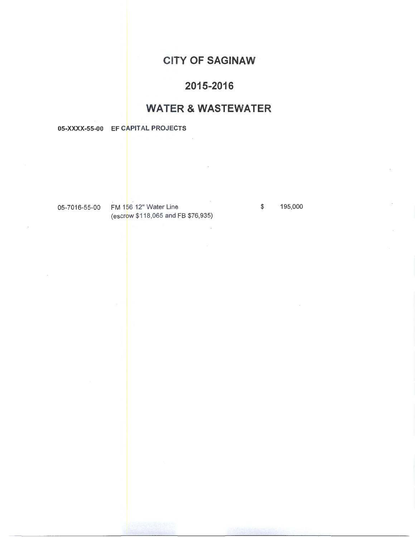## CITY OF SAGINAW

## 2015-2016

## WATER & WASTEWATER

05-XXXX-55-00 EF CAPITAL PROJECTS

05-7016-55-00 FM 156 12" Water Line \$ 195,000 (escrow \$118,065 and FB \$76,935)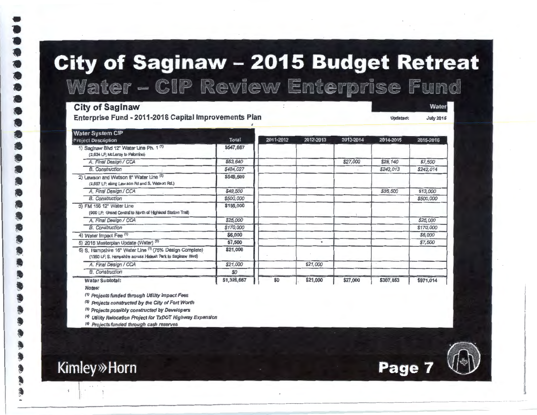# **City of Saginaw - 2015 Budget Retreat** Water - CIP Review Enterprise Fund

#### **City of Saginaw**

Enterprise Fund - 2011-2016 Capital Improvements Plan

**Water System CIP** Total 2011-2012 2012-2013 2013-2014 2014-2015 **Project Description** 2015-2016 1) Saginaw Blvd 12" Water Line Ph. 1 (1) \$547,667 (2.634 LP: McLeroy to Palomino) A. Final Design / CCA \$63,640 \$27,000 \$29,140 \$7,500 **B.** Construction \$484,027 \$242,013 \$242,014 2) Lawson and Watson 8" Water Line (5) \$549,500 (2.697 LF; along Law son Rd and S. Watson Rd.) A. Final Design / CCA \$36,500 \$49,500 \$13,000 **B.** Construction \$500,000 \$500,000 3) FM 156 12" Water Line \$195,000 (900 LP: Grand Central to North of Highland Station Trail) A. Final Design / CCA \$25,000 \$25,000 **B.** Construction \$170,000 \$170,000 4) Water Impact Fee (1) \$6,000 \$6,000 5) 2016 Masterplan Update (Water) (5) \$7,500  $\bullet$ \$7,500 6) S. Hampshire 16" Water Line (1) (75% Design Complete) \$21,000 (1350 LF: S. Hampshire across Haleah Park to Saginaw Blvd) A. Final Design / CCA \$21,000 \$21,000 **B.** Construction  $SO$ \$1,326,667 Water Subtotal: \$0 \$21,000 \$27,000 \$307,653 \$971.014

Notes:

**Kimley**»Horn

 $\mathcal{L}$ 

(1) Projects funded through Ufility Impact Fees

<sup>(2)</sup> Projects constructed by the City of Fort Worth

(3) Projects possibly constructed by Developers

<sup>(4)</sup> Utility Relocation Project for TxDOT Highway Expansion

(5) Projects funded through cash reserves



Water

**July 2015** 

Updated: